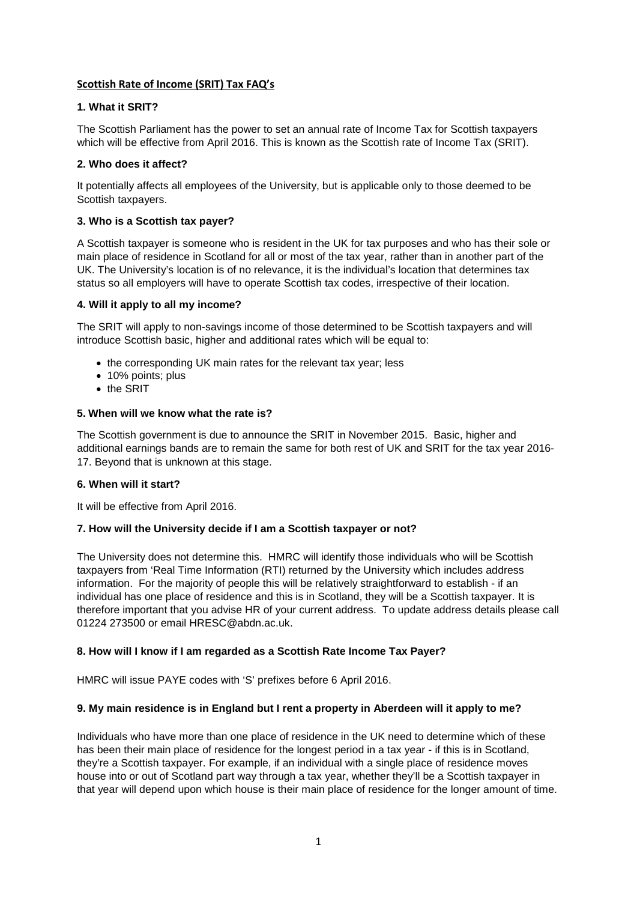# **Scottish Rate of Income (SRIT) Tax FAQ's**

## **1. What it SRIT?**

The Scottish Parliament has the power to set an annual rate of Income Tax for Scottish taxpayers which will be effective from April 2016. This is known as the Scottish rate of Income Tax (SRIT).

## **2. Who does it affect?**

It potentially affects all employees of the University, but is applicable only to those deemed to be Scottish taxpayers.

# **3. Who is a Scottish tax payer?**

A Scottish taxpayer is someone who is resident in the UK for tax purposes and who has their sole or main place of residence in Scotland for all or most of the tax year, rather than in another part of the UK. The University's location is of no relevance, it is the individual's location that determines tax status so all employers will have to operate Scottish tax codes, irrespective of their location.

# **4. Will it apply to all my income?**

The SRIT will apply to non-savings income of those determined to be Scottish taxpayers and will introduce Scottish basic, higher and additional rates which will be equal to:

- the corresponding UK main rates for the relevant tax year; less
- 10% points; plus
- the SRIT

# **5. When will we know what the rate is?**

The Scottish government is due to announce the SRIT in November 2015. Basic, higher and additional earnings bands are to remain the same for both rest of UK and SRIT for the tax year 2016- 17. Beyond that is unknown at this stage.

#### **6. When will it start?**

It will be effective from April 2016.

#### **7. How will the University decide if I am a Scottish taxpayer or not?**

The University does not determine this. HMRC will identify those individuals who will be Scottish taxpayers from 'Real Time Information (RTI) returned by the University which includes address information. For the majority of people this will be relatively straightforward to establish - if an individual has one place of residence and this is in Scotland, they will be a Scottish taxpayer. It is therefore important that you advise HR of your current address. To update address details please call 01224 273500 or email HRESC@abdn.ac.uk.

# **8. How will I know if I am regarded as a Scottish Rate Income Tax Payer?**

HMRC will issue PAYE codes with 'S' prefixes before 6 April 2016.

# **9. My main residence is in England but I rent a property in Aberdeen will it apply to me?**

Individuals who have more than one place of residence in the UK need to determine which of these has been their main place of residence for the longest period in a tax year - if this is in Scotland, they're a Scottish taxpayer. For example, if an individual with a single place of residence moves house into or out of Scotland part way through a tax year, whether they'll be a Scottish taxpayer in that year will depend upon which house is their main place of residence for the longer amount of time.